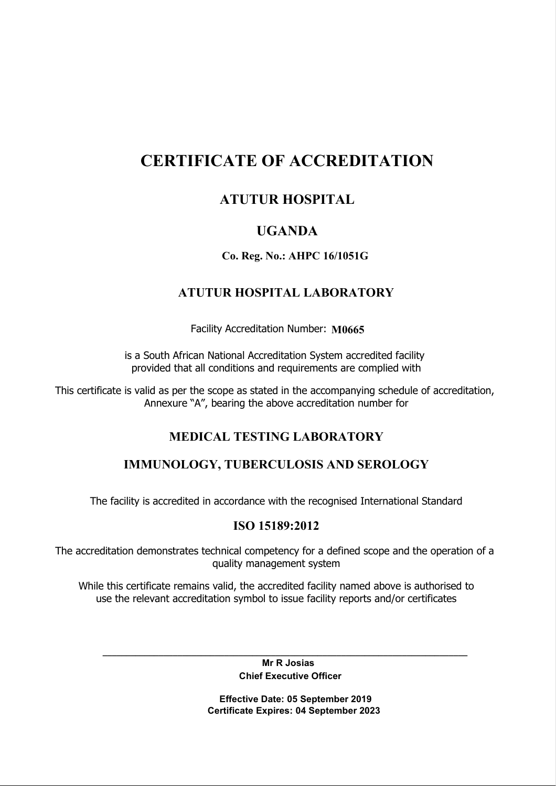# CERTIFICATE OF ACCREDITATION

## ATUTUR HOSPITAL

## UGANDA

#### Co. Reg. No.: AHPC 16/1051G

## ATUTUR HOSPITAL LABORATORY

Facility Accreditation Number: M0665

is a South African National Accreditation System accredited facility provided that all conditions and requirements are complied with

This certificate is valid as per the scope as stated in the accompanying schedule of accreditation, Annexure "A", bearing the above accreditation number for

### MEDICAL TESTING LABORATORY

### IMMUNOLOGY, TUBERCULOSIS AND SEROLOGY

The facility is accredited in accordance with the recognised International Standard

# ISO 15189:2012

The accreditation demonstrates technical competency for a defined scope and the operation of a quality management system

While this certificate remains valid, the accredited facility named above is authorised to use the relevant accreditation symbol to issue facility reports and/or certificates

> Mr R Josias Chief Executive Officer

\_\_\_\_\_\_\_\_\_\_\_\_\_\_\_\_\_\_\_\_\_\_\_\_\_\_\_\_\_\_\_\_\_\_\_\_\_\_\_\_\_\_\_\_\_\_\_\_\_\_\_\_\_\_\_\_\_\_\_\_\_\_\_\_\_\_\_\_\_\_\_\_\_\_\_\_\_\_

 Effective Date: 05 September 2019 Certificate Expires: 04 September 2023